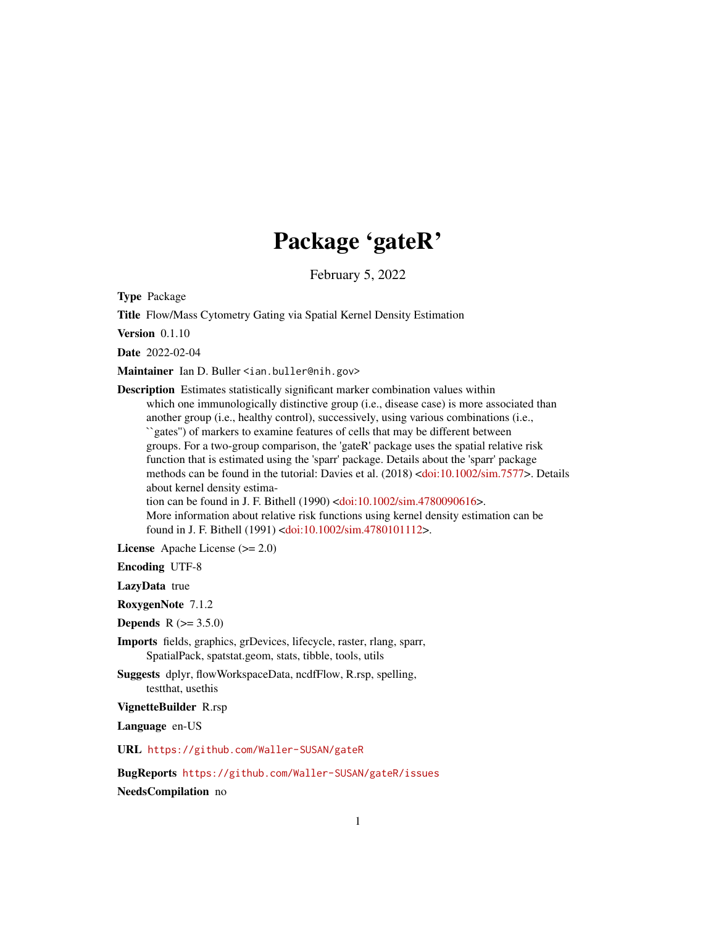## Package 'gateR'

February 5, 2022

<span id="page-0-0"></span>Type Package

Title Flow/Mass Cytometry Gating via Spatial Kernel Density Estimation

Version 0.1.10

Date 2022-02-04

Maintainer Ian D. Buller <ian.buller@nih.gov>

Description Estimates statistically significant marker combination values within which one immunologically distinctive group (i.e., disease case) is more associated than another group (i.e., healthy control), successively, using various combinations (i.e., ``gates'') of markers to examine features of cells that may be different between groups. For a two-group comparison, the 'gateR' package uses the spatial relative risk function that is estimated using the 'sparr' package. Details about the 'sparr' package methods can be found in the tutorial: Davies et al. (2018) [<doi:10.1002/sim.7577>](https://doi.org/10.1002/sim.7577). Details about kernel density estima-tion can be found in J. F. Bithell (1990) [<doi:10.1002/sim.4780090616>](https://doi.org/10.1002/sim.4780090616). More information about relative risk functions using kernel density estimation can be found in J. F. Bithell (1991) [<doi:10.1002/sim.4780101112>](https://doi.org/10.1002/sim.4780101112).

License Apache License (>= 2.0)

Encoding UTF-8

LazyData true

RoxygenNote 7.1.2

**Depends**  $R (= 3.5.0)$ 

- Imports fields, graphics, grDevices, lifecycle, raster, rlang, sparr, SpatialPack, spatstat.geom, stats, tibble, tools, utils
- Suggests dplyr, flowWorkspaceData, ncdfFlow, R.rsp, spelling, testthat, usethis

VignetteBuilder R.rsp

Language en-US

URL <https://github.com/Waller-SUSAN/gateR>

BugReports <https://github.com/Waller-SUSAN/gateR/issues>

NeedsCompilation no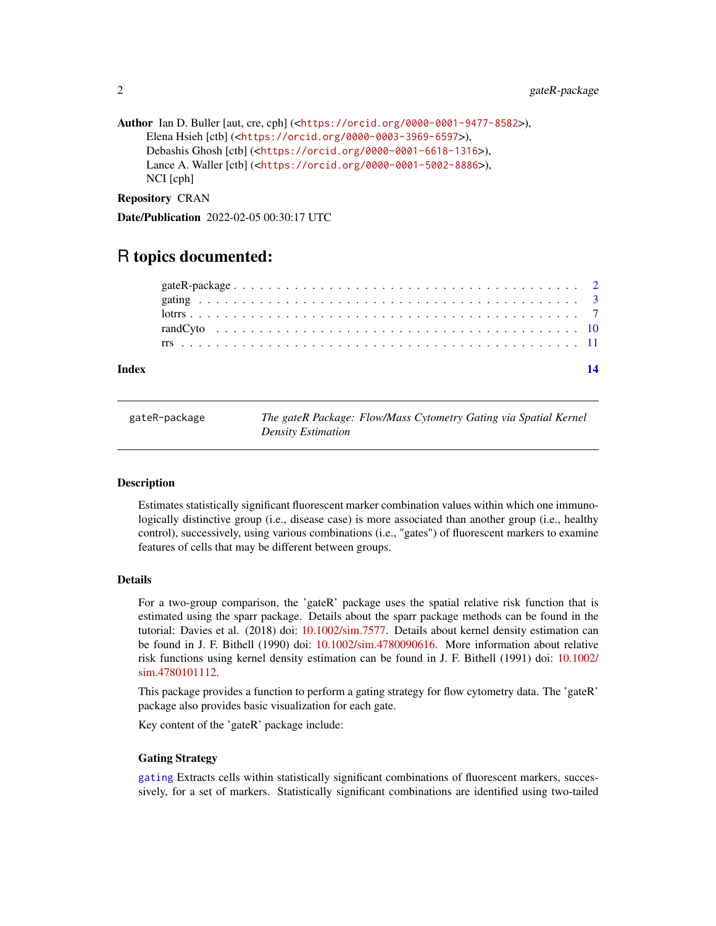```
Author Ian D. Buller [aut, cre, cph] (<https://orcid.org/0000-0001-9477-8582>),
     Elena Hsieh [ctb] (<https://orcid.org/0000-0003-3969-6597>),
     Debashis Ghosh [ctb] (<https://orcid.org/0000-0001-6618-1316>),
     Lance A. Waller [ctb] (<https://orcid.org/0000-0001-5002-8886>),
     NCI [cph]
```
Repository CRAN

Date/Publication 2022-02-05 00:30:17 UTC

### R topics documented:

#### **Index** 2008 **[14](#page-13-0)**

gateR-package *The gateR Package: Flow/Mass Cytometry Gating via Spatial Kernel Density Estimation*

#### Description

Estimates statistically significant fluorescent marker combination values within which one immunologically distinctive group (i.e., disease case) is more associated than another group (i.e., healthy control), successively, using various combinations (i.e., "gates") of fluorescent markers to examine features of cells that may be different between groups.

#### Details

For a two-group comparison, the 'gateR' package uses the spatial relative risk function that is estimated using the sparr package. Details about the sparr package methods can be found in the tutorial: Davies et al. (2018) doi: [10.1002/sim.7577.](https://doi.org/10.1002/sim.7577) Details about kernel density estimation can be found in J. F. Bithell (1990) doi: [10.1002/sim.4780090616.](https://doi.org/10.1002/sim.4780090616) More information about relative risk functions using kernel density estimation can be found in J. F. Bithell (1991) doi: [10.1002/](https://doi.org/10.1002/sim.4780101112) [sim.4780101112.](https://doi.org/10.1002/sim.4780101112)

This package provides a function to perform a gating strategy for flow cytometry data. The 'gateR' package also provides basic visualization for each gate.

Key content of the 'gateR' package include:

#### Gating Strategy

[gating](#page-2-1) Extracts cells within statistically significant combinations of fluorescent markers, successively, for a set of markers. Statistically significant combinations are identified using two-tailed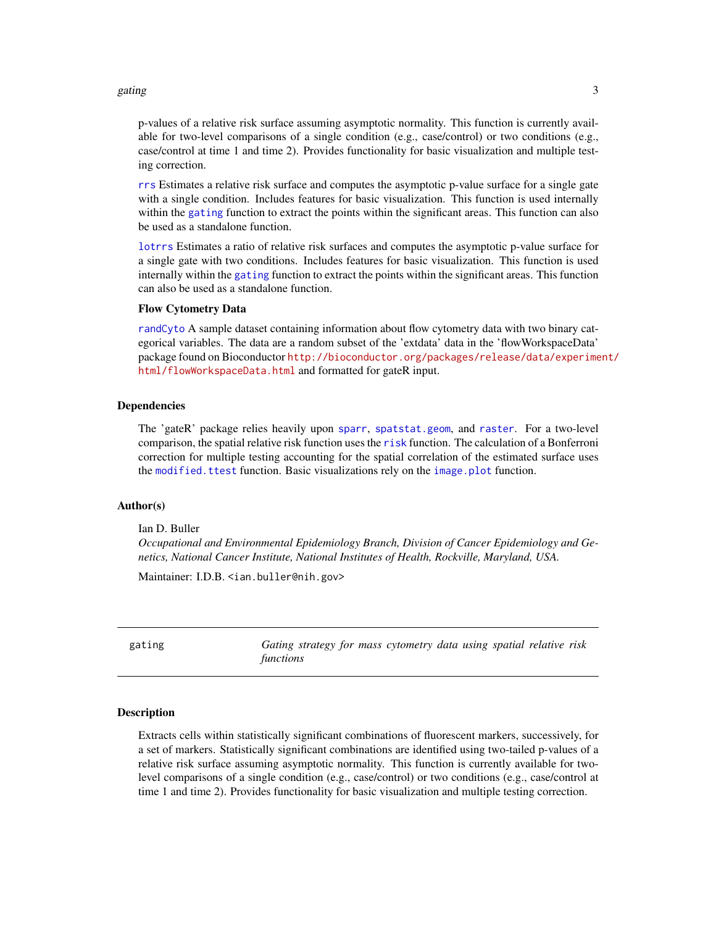#### <span id="page-2-0"></span>gating 3

p-values of a relative risk surface assuming asymptotic normality. This function is currently available for two-level comparisons of a single condition (e.g., case/control) or two conditions (e.g., case/control at time 1 and time 2). Provides functionality for basic visualization and multiple testing correction.

[rrs](#page-10-1) Estimates a relative risk surface and computes the asymptotic p-value surface for a single gate with a single condition. Includes features for basic visualization. This function is used internally within the [gating](#page-2-1) function to extract the points within the significant areas. This function can also be used as a standalone function.

[lotrrs](#page-6-1) Estimates a ratio of relative risk surfaces and computes the asymptotic p-value surface for a single gate with two conditions. Includes features for basic visualization. This function is used internally within the [gating](#page-2-1) function to extract the points within the significant areas. This function can also be used as a standalone function.

#### Flow Cytometry Data

[randCyto](#page-9-1) A sample dataset containing information about flow cytometry data with two binary categorical variables. The data are a random subset of the 'extdata' data in the 'flowWorkspaceData' package found on Bioconductor [http://bioconductor.org/packages/release/data/experime](http://bioconductor.org/packages/release/data/experiment/html/flowWorkspaceData.html)nt/ [html/flowWorkspaceData.html](http://bioconductor.org/packages/release/data/experiment/html/flowWorkspaceData.html) and formatted for gateR input.

#### Dependencies

The 'gateR' package relies heavily upon [sparr](#page-0-0), [spatstat.geom](#page-0-0), and [raster](#page-0-0). For a two-level comparison, the spatial relative risk function uses the [risk](#page-0-0) function. The calculation of a Bonferroni correction for multiple testing accounting for the spatial correlation of the estimated surface uses the [modified.ttest](#page-0-0) function. Basic visualizations rely on the [image.plot](#page-0-0) function.

#### Author(s)

Ian D. Buller

*Occupational and Environmental Epidemiology Branch, Division of Cancer Epidemiology and Genetics, National Cancer Institute, National Institutes of Health, Rockville, Maryland, USA.*

Maintainer: I.D.B. <ian.buller@nih.gov>

<span id="page-2-1"></span>gating *Gating strategy for mass cytometry data using spatial relative risk functions*

#### **Description**

Extracts cells within statistically significant combinations of fluorescent markers, successively, for a set of markers. Statistically significant combinations are identified using two-tailed p-values of a relative risk surface assuming asymptotic normality. This function is currently available for twolevel comparisons of a single condition (e.g., case/control) or two conditions (e.g., case/control at time 1 and time 2). Provides functionality for basic visualization and multiple testing correction.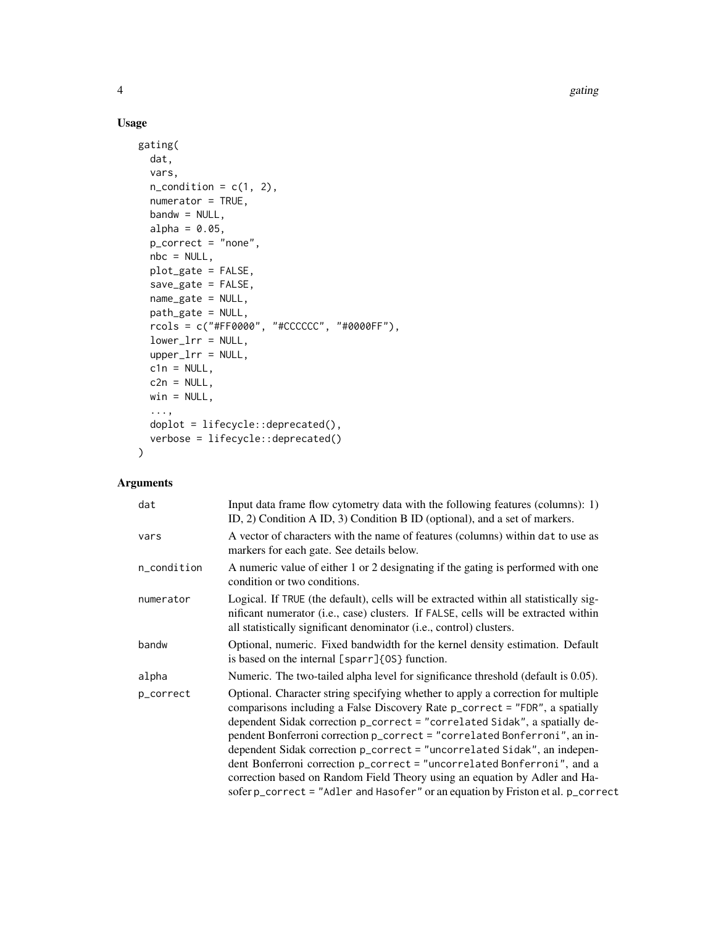4 gating the set of the set of the set of the set of the set of the set of the set of the set of the set of the set of the set of the set of the set of the set of the set of the set of the set of the set of the set of the

#### Usage

```
gating(
  dat,
  vars,
  n<sub>c</sub>ondition = c(1, 2),
  numerator = TRUE,
  bandw = NULL,alpha = 0.05,
  p_correct = "none",
  nbc = NULL,plot_gate = FALSE,
  save_gate = FALSE,
  name_gate = NULL,
  path_gate = NULL,
  rcols = c("#FF0000", "#CCCCCC", "#0000FF"),
  lower_lrr = NULL,
  upper_lrr = NULL,
  cln = NULL,c2n = NULL,win = NULL,...,
  doplot = lifecycle::deprecated(),
  verbose = lifecycle::deprecated()
\mathcal{L}
```
#### Arguments

| Input data frame flow cytometry data with the following features (columns): 1)<br>ID, 2) Condition A ID, 3) Condition B ID (optional), and a set of markers.                                                                                                                                                                                                                                                                                                                                                                                                                                                                                        |
|-----------------------------------------------------------------------------------------------------------------------------------------------------------------------------------------------------------------------------------------------------------------------------------------------------------------------------------------------------------------------------------------------------------------------------------------------------------------------------------------------------------------------------------------------------------------------------------------------------------------------------------------------------|
| A vector of characters with the name of features (columns) within dat to use as<br>markers for each gate. See details below.                                                                                                                                                                                                                                                                                                                                                                                                                                                                                                                        |
| A numeric value of either 1 or 2 designating if the gating is performed with one<br>condition or two conditions.                                                                                                                                                                                                                                                                                                                                                                                                                                                                                                                                    |
| Logical. If TRUE (the default), cells will be extracted within all statistically sig-<br>nificant numerator (i.e., case) clusters. If FALSE, cells will be extracted within<br>all statistically significant denominator (i.e., control) clusters.                                                                                                                                                                                                                                                                                                                                                                                                  |
| Optional, numeric. Fixed bandwidth for the kernel density estimation. Default<br>is based on the internal [sparr]{0S} function.                                                                                                                                                                                                                                                                                                                                                                                                                                                                                                                     |
| Numeric. The two-tailed alpha level for significance threshold (default is 0.05).                                                                                                                                                                                                                                                                                                                                                                                                                                                                                                                                                                   |
| Optional. Character string specifying whether to apply a correction for multiple<br>comparisons including a False Discovery Rate p_correct = "FDR", a spatially<br>dependent Sidak correction p_correct = "correlated Sidak", a spatially de-<br>pendent Bonferroni correction p_correct = "correlated Bonferroni", an in-<br>dependent Sidak correction p_correct = "uncorrelated Sidak", an indepen-<br>dent Bonferroni correction p_correct = "uncorrelated Bonferroni", and a<br>correction based on Random Field Theory using an equation by Adler and Ha-<br>sofer p_correct = "Adler and Hasofer" or an equation by Friston et al. p_correct |
|                                                                                                                                                                                                                                                                                                                                                                                                                                                                                                                                                                                                                                                     |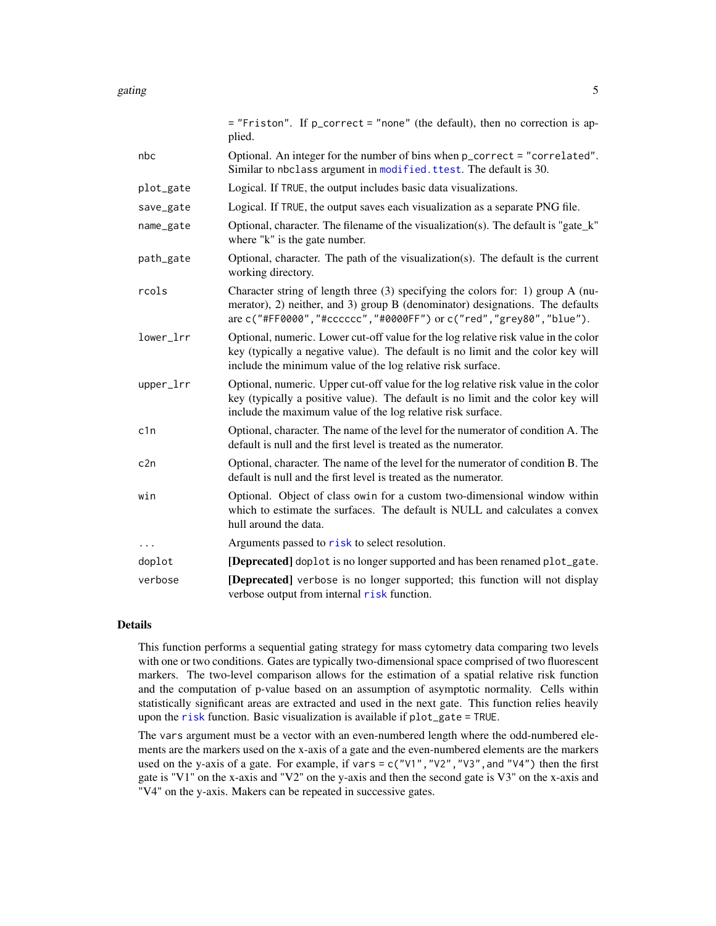<span id="page-4-0"></span>

|           | = "Friston". If p_correct = "none" (the default), then no correction is ap-<br>plied.                                                                                                                                                       |
|-----------|---------------------------------------------------------------------------------------------------------------------------------------------------------------------------------------------------------------------------------------------|
| nbc       | Optional. An integer for the number of bins when p_correct = "correlated".<br>Similar to nbclass argument in modified. ttest. The default is 30.                                                                                            |
| plot_gate | Logical. If TRUE, the output includes basic data visualizations.                                                                                                                                                                            |
| save_gate | Logical. If TRUE, the output saves each visualization as a separate PNG file.                                                                                                                                                               |
| name_gate | Optional, character. The filename of the visualization(s). The default is "gate_k"<br>where "k" is the gate number.                                                                                                                         |
| path_gate | Optional, character. The path of the visualization(s). The default is the current<br>working directory.                                                                                                                                     |
| rcols     | Character string of length three $(3)$ specifying the colors for: 1) group A (nu-<br>merator), 2) neither, and 3) group B (denominator) designations. The defaults<br>are c("#FF0000", "#cccccc", "#0000FF") or c("red", "grey80", "blue"). |
| lower_lrr | Optional, numeric. Lower cut-off value for the log relative risk value in the color<br>key (typically a negative value). The default is no limit and the color key will<br>include the minimum value of the log relative risk surface.      |
| upper_lrr | Optional, numeric. Upper cut-off value for the log relative risk value in the color<br>key (typically a positive value). The default is no limit and the color key will<br>include the maximum value of the log relative risk surface.      |
| c1n       | Optional, character. The name of the level for the numerator of condition A. The<br>default is null and the first level is treated as the numerator.                                                                                        |
| c2n       | Optional, character. The name of the level for the numerator of condition B. The<br>default is null and the first level is treated as the numerator.                                                                                        |
| win       | Optional. Object of class owin for a custom two-dimensional window within<br>which to estimate the surfaces. The default is NULL and calculates a convex<br>hull around the data.                                                           |
| $\cdots$  | Arguments passed to risk to select resolution.                                                                                                                                                                                              |
| doplot    | [Deprecated] doplot is no longer supported and has been renamed plot_gate.                                                                                                                                                                  |
| verbose   | [Deprecated] verbose is no longer supported; this function will not display                                                                                                                                                                 |

#### Details

This function performs a sequential gating strategy for mass cytometry data comparing two levels with one or two conditions. Gates are typically two-dimensional space comprised of two fluorescent markers. The two-level comparison allows for the estimation of a spatial relative risk function and the computation of p-value based on an assumption of asymptotic normality. Cells within statistically significant areas are extracted and used in the next gate. This function relies heavily upon the [risk](#page-0-0) function. Basic visualization is available if plot\_gate = TRUE.

verbose output from internal [risk](#page-0-0) function.

The vars argument must be a vector with an even-numbered length where the odd-numbered elements are the markers used on the x-axis of a gate and the even-numbered elements are the markers used on the y-axis of a gate. For example, if vars =  $c("V1", "V2", "V3",$  and "V4") then the first gate is "V1" on the x-axis and "V2" on the y-axis and then the second gate is V3" on the x-axis and "V4" on the y-axis. Makers can be repeated in successive gates.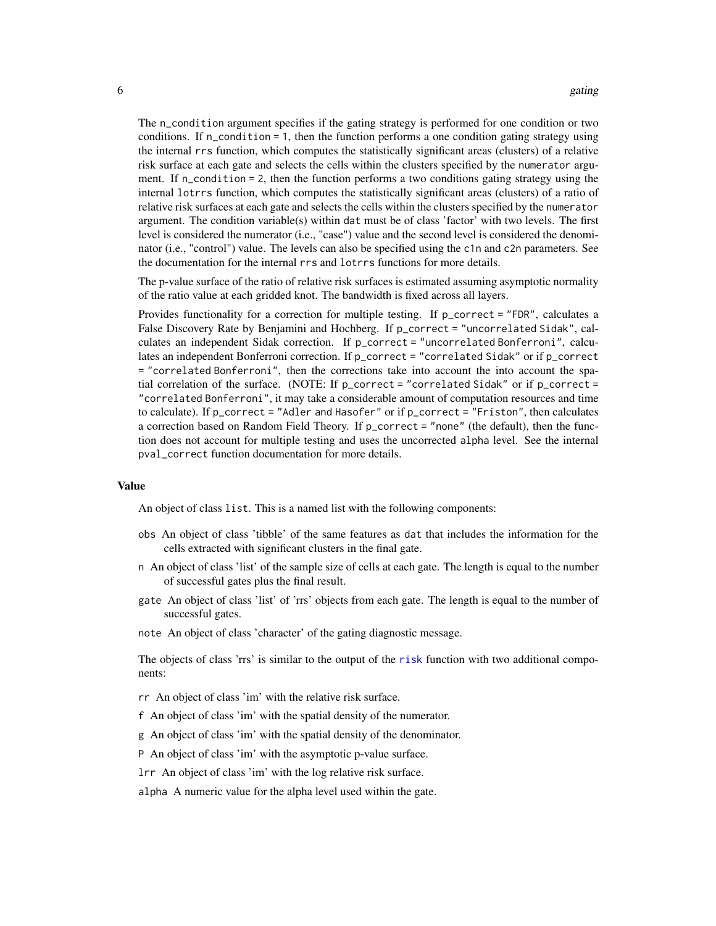<span id="page-5-0"></span>The n\_condition argument specifies if the gating strategy is performed for one condition or two conditions. If  $n_{\text{1}}$  condition = 1, then the function performs a one condition gating strategy using the internal rrs function, which computes the statistically significant areas (clusters) of a relative risk surface at each gate and selects the cells within the clusters specified by the numerator argument. If n\_condition = 2, then the function performs a two conditions gating strategy using the internal lotrrs function, which computes the statistically significant areas (clusters) of a ratio of relative risk surfaces at each gate and selects the cells within the clusters specified by the numerator argument. The condition variable(s) within dat must be of class 'factor' with two levels. The first level is considered the numerator (i.e., "case") value and the second level is considered the denominator (i.e., "control") value. The levels can also be specified using the c1n and c2n parameters. See the documentation for the internal rrs and lotrrs functions for more details.

The p-value surface of the ratio of relative risk surfaces is estimated assuming asymptotic normality of the ratio value at each gridded knot. The bandwidth is fixed across all layers.

Provides functionality for a correction for multiple testing. If p\_correct = "FDR", calculates a False Discovery Rate by Benjamini and Hochberg. If p\_correct = "uncorrelated Sidak", calculates an independent Sidak correction. If  $p_{\text{correct}} =$  "uncorrelated Bonferroni", calculates an independent Bonferroni correction. If p\_correct = "correlated Sidak" or if p\_correct = "correlated Bonferroni", then the corrections take into account the into account the spatial correlation of the surface. (NOTE: If  $p\_correct = "correlated Sidak"$  or if  $p\_correct =$ "correlated Bonferroni", it may take a considerable amount of computation resources and time to calculate). If p\_correct = "Adler and Hasofer" or if p\_correct = "Friston", then calculates a correction based on Random Field Theory. If p\_correct = "none" (the default), then the function does not account for multiple testing and uses the uncorrected alpha level. See the internal pval\_correct function documentation for more details.

#### Value

An object of class list. This is a named list with the following components:

- obs An object of class 'tibble' of the same features as dat that includes the information for the cells extracted with significant clusters in the final gate.
- n An object of class 'list' of the sample size of cells at each gate. The length is equal to the number of successful gates plus the final result.
- gate An object of class 'list' of 'rrs' objects from each gate. The length is equal to the number of successful gates.
- note An object of class 'character' of the gating diagnostic message.

The objects of class 'rrs' is similar to the output of the [risk](#page-0-0) function with two additional components:

rr An object of class 'im' with the relative risk surface.

- f An object of class 'im' with the spatial density of the numerator.
- g An object of class 'im' with the spatial density of the denominator.
- P An object of class 'im' with the asymptotic p-value surface.
- lrr An object of class 'im' with the log relative risk surface.

alpha A numeric value for the alpha level used within the gate.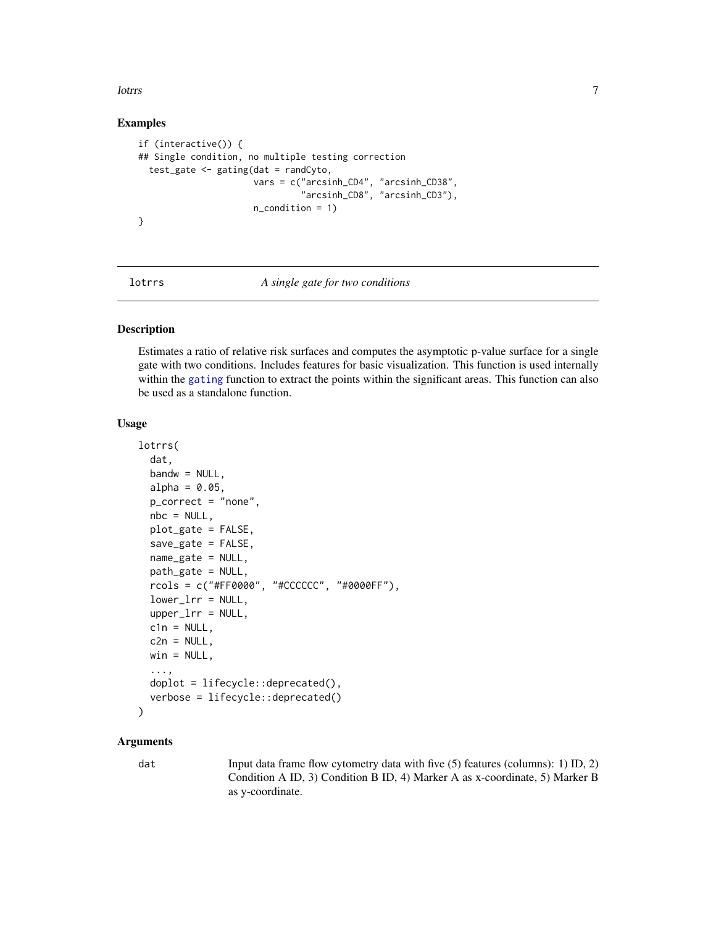<span id="page-6-0"></span>lottrs and the contract of the contract of the contract of the contract of the contract of the contract of the contract of the contract of the contract of the contract of the contract of the contract of the contract of the

#### Examples

```
if (interactive()) {
## Single condition, no multiple testing correction
 test_gate \leq gating(dat = randCyto,
                      vars = c("arcsinh_CD4", "arcsinh_CD38",
                                "arcsinh_CD8", "arcsinh_CD3"),
                      n_condition = 1)
}
```
<span id="page-6-1"></span>

#### lotrrs *A single gate for two conditions*

#### Description

Estimates a ratio of relative risk surfaces and computes the asymptotic p-value surface for a single gate with two conditions. Includes features for basic visualization. This function is used internally within the [gating](#page-2-1) function to extract the points within the significant areas. This function can also be used as a standalone function.

#### Usage

```
lotrrs(
  dat,
  bandw = NULL,alpha = 0.05,
  p_correct = "none",
  nbc = NULL,plot_gate = FALSE,
  save_gate = FALSE,
  name_gate = NULL,
 path_gate = NULL,
  rcols = c("#FF0000", "#CCCCCC", "#0000FF"),
  lower_lrr = NULL,
  upper_lrr = NULL,cln = NULL,c2n = NULL,win = NULL,...,
  doplot = lifecycle::deprecated(),
  verbose = lifecycle::deprecated()
)
```
#### **Arguments**

dat Input data frame flow cytometry data with five (5) features (columns): 1) ID, 2) Condition A ID, 3) Condition B ID, 4) Marker A as x-coordinate, 5) Marker B as y-coordinate.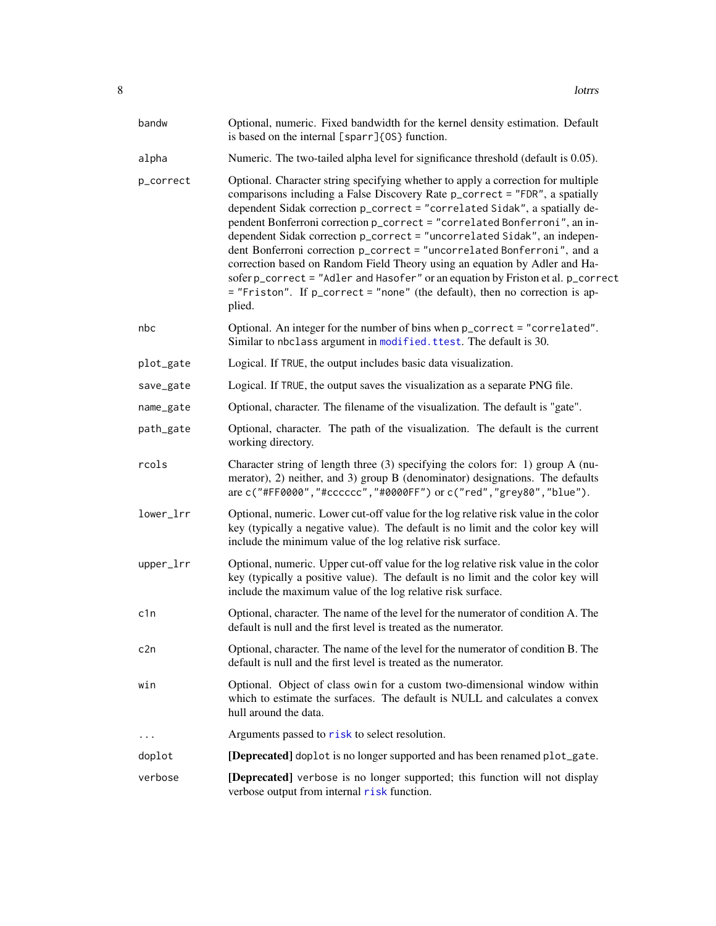<span id="page-7-0"></span>

| bandw     | Optional, numeric. Fixed bandwidth for the kernel density estimation. Default<br>is based on the internal [sparr] {0S} function.                                                                                                                                                                                                                                                                                                                                                                                                                                                                                                                                                                                                             |
|-----------|----------------------------------------------------------------------------------------------------------------------------------------------------------------------------------------------------------------------------------------------------------------------------------------------------------------------------------------------------------------------------------------------------------------------------------------------------------------------------------------------------------------------------------------------------------------------------------------------------------------------------------------------------------------------------------------------------------------------------------------------|
| alpha     | Numeric. The two-tailed alpha level for significance threshold (default is 0.05).                                                                                                                                                                                                                                                                                                                                                                                                                                                                                                                                                                                                                                                            |
| p_correct | Optional. Character string specifying whether to apply a correction for multiple<br>comparisons including a False Discovery Rate p_correct = "FDR", a spatially<br>dependent Sidak correction p_correct = "correlated Sidak", a spatially de-<br>pendent Bonferroni correction p_correct = "correlated Bonferroni", an in-<br>dependent Sidak correction p_correct = "uncorrelated Sidak", an indepen-<br>dent Bonferroni correction p_correct = "uncorrelated Bonferroni", and a<br>correction based on Random Field Theory using an equation by Adler and Ha-<br>sofer p_correct = "Adler and Hasofer" or an equation by Friston et al. p_correct<br>= "Friston". If p_correct = "none" (the default), then no correction is ap-<br>plied. |
| nbc       | Optional. An integer for the number of bins when p_correct = "correlated".<br>Similar to nbclass argument in modified. ttest. The default is 30.                                                                                                                                                                                                                                                                                                                                                                                                                                                                                                                                                                                             |
| plot_gate | Logical. If TRUE, the output includes basic data visualization.                                                                                                                                                                                                                                                                                                                                                                                                                                                                                                                                                                                                                                                                              |
| save_gate | Logical. If TRUE, the output saves the visualization as a separate PNG file.                                                                                                                                                                                                                                                                                                                                                                                                                                                                                                                                                                                                                                                                 |
| name_gate | Optional, character. The filename of the visualization. The default is "gate".                                                                                                                                                                                                                                                                                                                                                                                                                                                                                                                                                                                                                                                               |
| path_gate | Optional, character. The path of the visualization. The default is the current<br>working directory.                                                                                                                                                                                                                                                                                                                                                                                                                                                                                                                                                                                                                                         |
| rcols     | Character string of length three $(3)$ specifying the colors for: 1) group A (nu-<br>merator), 2) neither, and 3) group B (denominator) designations. The defaults<br>are c("#FF0000","#cccccc","#0000FF") or c("red","grey80","blue").                                                                                                                                                                                                                                                                                                                                                                                                                                                                                                      |
| lower_lrr | Optional, numeric. Lower cut-off value for the log relative risk value in the color<br>key (typically a negative value). The default is no limit and the color key will<br>include the minimum value of the log relative risk surface.                                                                                                                                                                                                                                                                                                                                                                                                                                                                                                       |
| upper_lrr | Optional, numeric. Upper cut-off value for the log relative risk value in the color<br>key (typically a positive value). The default is no limit and the color key will<br>include the maximum value of the log relative risk surface.                                                                                                                                                                                                                                                                                                                                                                                                                                                                                                       |
| c1n       | Optional, character. The name of the level for the numerator of condition A. The<br>default is null and the first level is treated as the numerator.                                                                                                                                                                                                                                                                                                                                                                                                                                                                                                                                                                                         |
| c2n       | Optional, character. The name of the level for the numerator of condition B. The<br>default is null and the first level is treated as the numerator.                                                                                                                                                                                                                                                                                                                                                                                                                                                                                                                                                                                         |
| win       | Optional. Object of class owin for a custom two-dimensional window within<br>which to estimate the surfaces. The default is NULL and calculates a convex<br>hull around the data.                                                                                                                                                                                                                                                                                                                                                                                                                                                                                                                                                            |
| $\cdots$  | Arguments passed to risk to select resolution.                                                                                                                                                                                                                                                                                                                                                                                                                                                                                                                                                                                                                                                                                               |
| doplot    | [Deprecated] doplot is no longer supported and has been renamed plot_gate.                                                                                                                                                                                                                                                                                                                                                                                                                                                                                                                                                                                                                                                                   |
| verbose   | [Deprecated] verbose is no longer supported; this function will not display<br>verbose output from internal risk function.                                                                                                                                                                                                                                                                                                                                                                                                                                                                                                                                                                                                                   |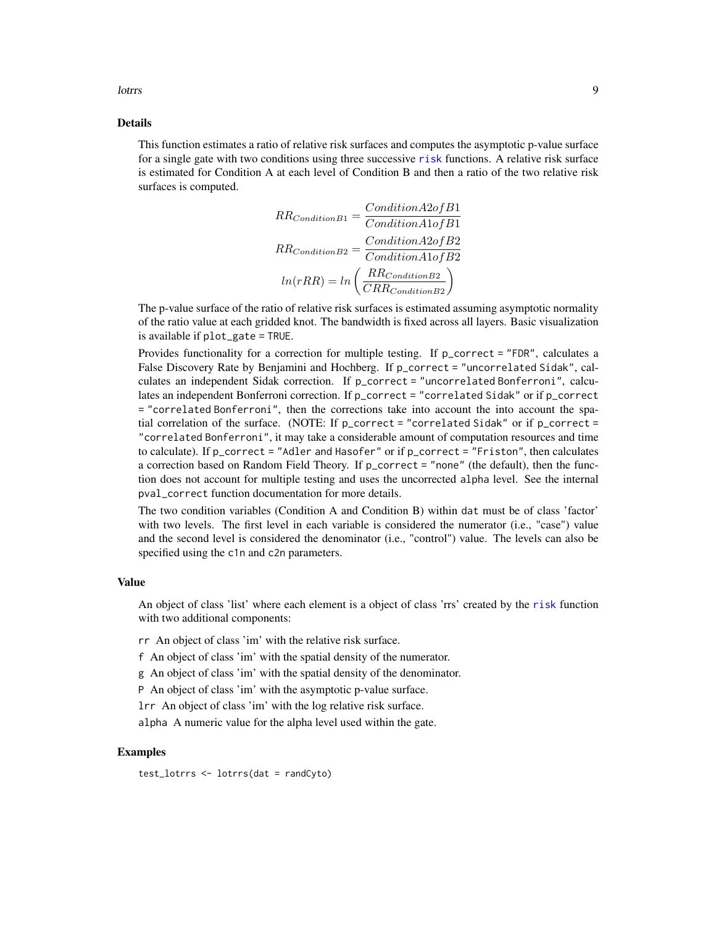<span id="page-8-0"></span>lottrs and the control of the control of the control of the control of the control of the control of the control of the control of the control of the control of the control of the control of the control of the control of t

#### Details

This function estimates a ratio of relative risk surfaces and computes the asymptotic p-value surface for a single gate with two conditions using three successive [risk](#page-0-0) functions. A relative risk surface is estimated for Condition A at each level of Condition B and then a ratio of the two relative risk surfaces is computed.

$$
RR_{ConditionB1} = \frac{Condition A2ofB1}{Condition A1ofB1}
$$

$$
RR_{ConditionB2} = \frac{Condition A2ofB2}{Condition A1ofB2}
$$

$$
ln(rRR) = ln\left(\frac{RR_{Condition B2}}{CRR_{Condition B2}}\right)
$$

The p-value surface of the ratio of relative risk surfaces is estimated assuming asymptotic normality of the ratio value at each gridded knot. The bandwidth is fixed across all layers. Basic visualization is available if plot\_gate = TRUE.

Provides functionality for a correction for multiple testing. If p\_correct = "FDR", calculates a False Discovery Rate by Benjamini and Hochberg. If p\_correct = "uncorrelated Sidak", calculates an independent Sidak correction. If p\_correct = "uncorrelated Bonferroni", calculates an independent Bonferroni correction. If p\_correct = "correlated Sidak" or if p\_correct = "correlated Bonferroni", then the corrections take into account the into account the spatial correlation of the surface. (NOTE: If  $p\_correct = "correlated Sidak"$  or if  $p\_correct =$ "correlated Bonferroni", it may take a considerable amount of computation resources and time to calculate). If p\_correct = "Adler and Hasofer" or if p\_correct = "Friston", then calculates a correction based on Random Field Theory. If p\_correct = "none" (the default), then the function does not account for multiple testing and uses the uncorrected alpha level. See the internal pval\_correct function documentation for more details.

The two condition variables (Condition A and Condition B) within dat must be of class 'factor' with two levels. The first level in each variable is considered the numerator (i.e., "case") value and the second level is considered the denominator (i.e., "control") value. The levels can also be specified using the c1n and c2n parameters.

#### Value

An object of class 'list' where each element is a object of class 'rrs' created by the [risk](#page-0-0) function with two additional components:

rr An object of class 'im' with the relative risk surface.

f An object of class 'im' with the spatial density of the numerator.

g An object of class 'im' with the spatial density of the denominator.

P An object of class 'im' with the asymptotic p-value surface.

lrr An object of class 'im' with the log relative risk surface.

alpha A numeric value for the alpha level used within the gate.

#### Examples

test\_lotrrs <- lotrrs(dat = randCyto)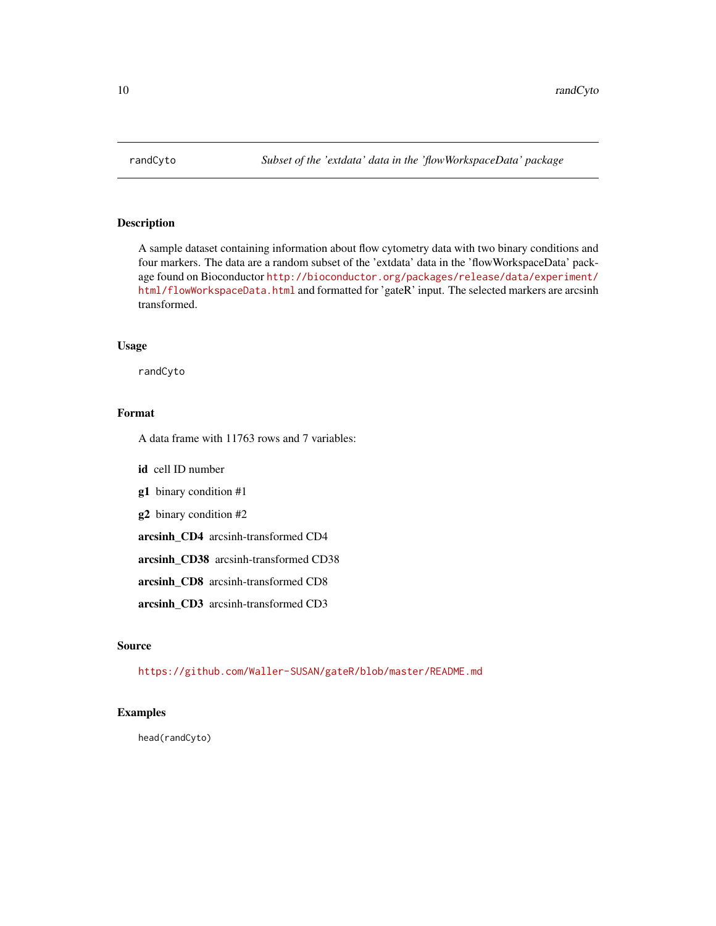<span id="page-9-1"></span><span id="page-9-0"></span>

#### Description

A sample dataset containing information about flow cytometry data with two binary conditions and four markers. The data are a random subset of the 'extdata' data in the 'flowWorkspaceData' package found on Bioconductor [http://bioconductor.org/packages/release/data/experiment/](http://bioconductor.org/packages/release/data/experiment/html/flowWorkspaceData.html) [html/flowWorkspaceData.html](http://bioconductor.org/packages/release/data/experiment/html/flowWorkspaceData.html) and formatted for 'gateR' input. The selected markers are arcsinh transformed.

#### Usage

randCyto

#### Format

A data frame with 11763 rows and 7 variables:

id cell ID number

g1 binary condition #1

g2 binary condition #2

arcsinh\_CD4 arcsinh-transformed CD4

arcsinh\_CD38 arcsinh-transformed CD38

arcsinh\_CD8 arcsinh-transformed CD8

arcsinh\_CD3 arcsinh-transformed CD3

#### Source

<https://github.com/Waller-SUSAN/gateR/blob/master/README.md>

#### Examples

head(randCyto)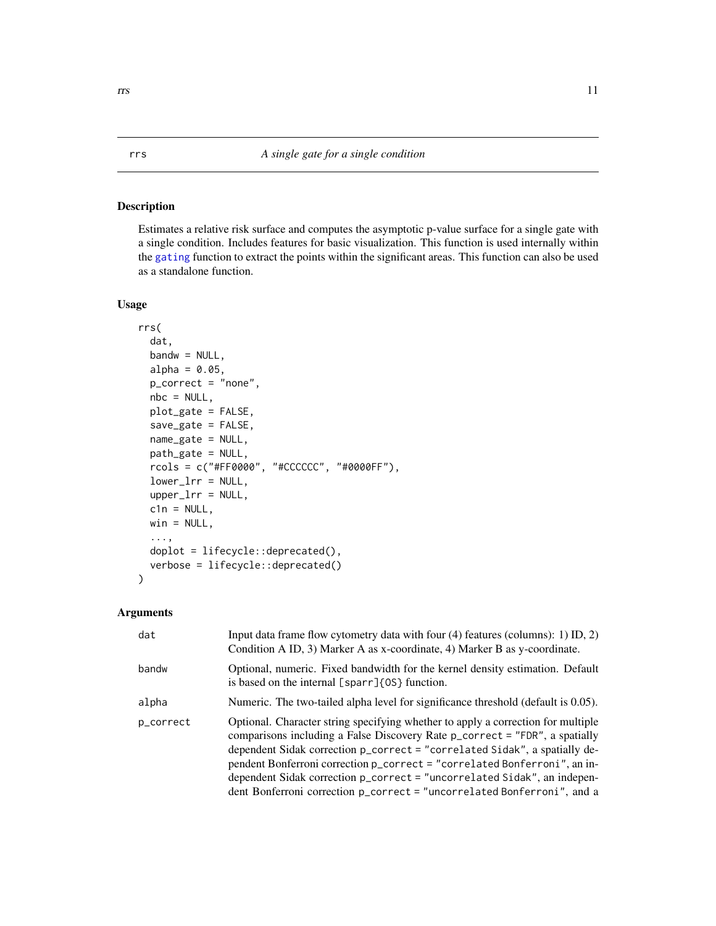#### <span id="page-10-1"></span><span id="page-10-0"></span>Description

Estimates a relative risk surface and computes the asymptotic p-value surface for a single gate with a single condition. Includes features for basic visualization. This function is used internally within the [gating](#page-2-1) function to extract the points within the significant areas. This function can also be used as a standalone function.

#### Usage

```
rrs(
  dat,
 bandw = NULL,alpha = 0.05,
 p_correct = "none",
 nbc = NULL,plot_gate = FALSE,
  save_gate = FALSE,
 name_gate = NULL,
 path_gate = NULL,
  rcols = c("#FF0000", "#CCCCCC", "#0000FF"),
  lower_lrr = NULL,
  upper_lrr = NULL,
  cln = NULL,win = NULL,...,
  doplot = lifecycle::deprecated(),
  verbose = lifecycle::deprecated()
```
#### Arguments

 $\mathcal{L}$ 

| dat       | Input data frame flow cytometry data with four $(4)$ features (columns): 1) ID, 2)<br>Condition A ID, 3) Marker A as x-coordinate, 4) Marker B as y-coordinate.                                                                                                                                                                                                                                                                                                                   |
|-----------|-----------------------------------------------------------------------------------------------------------------------------------------------------------------------------------------------------------------------------------------------------------------------------------------------------------------------------------------------------------------------------------------------------------------------------------------------------------------------------------|
| bandw     | Optional, numeric. Fixed bandwidth for the kernel density estimation. Default<br>is based on the internal [sparr] {0S} function.                                                                                                                                                                                                                                                                                                                                                  |
| alpha     | Numeric. The two-tailed alpha level for significance threshold (default is 0.05).                                                                                                                                                                                                                                                                                                                                                                                                 |
| p_correct | Optional. Character string specifying whether to apply a correction for multiple<br>comparisons including a False Discovery Rate p_correct = "FDR", a spatially<br>dependent Sidak correction p_correct = "correlated Sidak", a spatially de-<br>pendent Bonferroni correction p_correct = "correlated Bonferroni", an in-<br>dependent Sidak correction p_correct = "uncorrelated Sidak", an indepen-<br>dent Bonferroni correction p_correct = "uncorrelated Bonferroni", and a |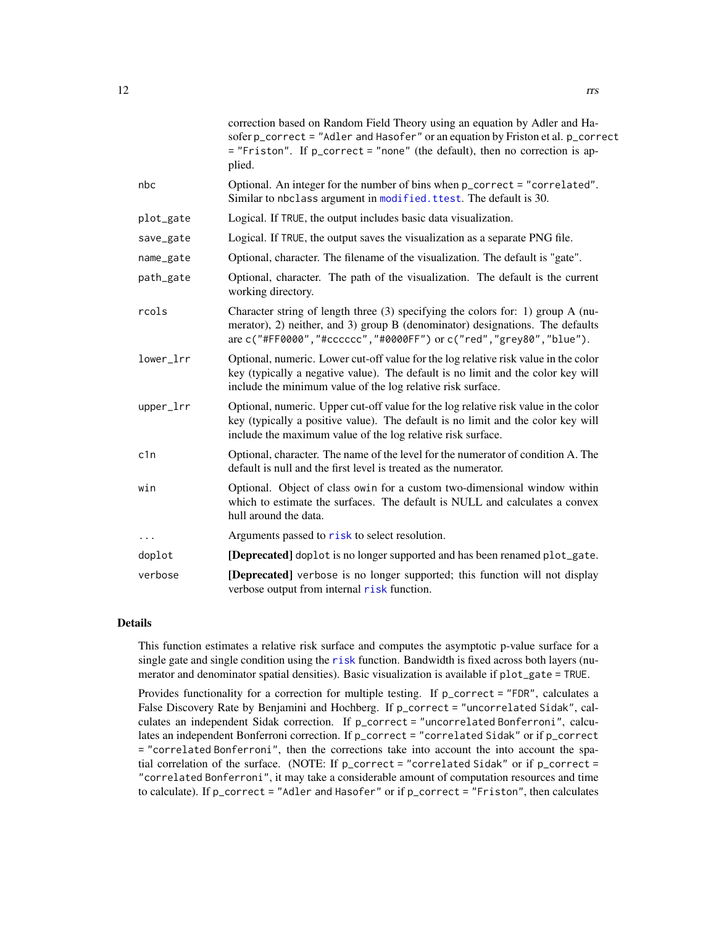<span id="page-11-0"></span>

|           | correction based on Random Field Theory using an equation by Adler and Ha-<br>sofer p_correct = "Adler and Hasofer" or an equation by Friston et al. p_correct<br>= "Friston". If p_correct = "none" (the default), then no correction is ap-<br>plied. |
|-----------|---------------------------------------------------------------------------------------------------------------------------------------------------------------------------------------------------------------------------------------------------------|
| nbc       | Optional. An integer for the number of bins when p_correct = "correlated".<br>Similar to nbclass argument in modified. ttest. The default is 30.                                                                                                        |
| plot_gate | Logical. If TRUE, the output includes basic data visualization.                                                                                                                                                                                         |
| save_gate | Logical. If TRUE, the output saves the visualization as a separate PNG file.                                                                                                                                                                            |
| name_gate | Optional, character. The filename of the visualization. The default is "gate".                                                                                                                                                                          |
| path_gate | Optional, character. The path of the visualization. The default is the current<br>working directory.                                                                                                                                                    |
| rcols     | Character string of length three (3) specifying the colors for: 1) group A (nu-<br>merator), 2) neither, and 3) group B (denominator) designations. The defaults<br>are c("#FF0000", "#cccccc", "#0000FF") or c("red", "grey80", "blue").               |
| lower_lrr | Optional, numeric. Lower cut-off value for the log relative risk value in the color<br>key (typically a negative value). The default is no limit and the color key will<br>include the minimum value of the log relative risk surface.                  |
| upper_lrr | Optional, numeric. Upper cut-off value for the log relative risk value in the color<br>key (typically a positive value). The default is no limit and the color key will<br>include the maximum value of the log relative risk surface.                  |
| c1n       | Optional, character. The name of the level for the numerator of condition A. The<br>default is null and the first level is treated as the numerator.                                                                                                    |
| win       | Optional. Object of class owin for a custom two-dimensional window within<br>which to estimate the surfaces. The default is NULL and calculates a convex<br>hull around the data.                                                                       |
| $\cdots$  | Arguments passed to risk to select resolution.                                                                                                                                                                                                          |
| doplot    | [Deprecated] doplot is no longer supported and has been renamed plot_gate.                                                                                                                                                                              |
| verbose   | [Deprecated] verbose is no longer supported; this function will not display<br>verbose output from internal risk function.                                                                                                                              |
|           |                                                                                                                                                                                                                                                         |

#### Details

This function estimates a relative risk surface and computes the asymptotic p-value surface for a single gate and single condition using the [risk](#page-0-0) function. Bandwidth is fixed across both layers (numerator and denominator spatial densities). Basic visualization is available if plot\_gate = TRUE.

Provides functionality for a correction for multiple testing. If p\_correct = "FDR", calculates a False Discovery Rate by Benjamini and Hochberg. If p\_correct = "uncorrelated Sidak", calculates an independent Sidak correction. If p\_correct = "uncorrelated Bonferroni", calculates an independent Bonferroni correction. If p\_correct = "correlated Sidak" or if p\_correct = "correlated Bonferroni", then the corrections take into account the into account the spatial correlation of the surface. (NOTE: If  $p\_correct = "correlated Sidak"$  or if  $p\_correct =$ "correlated Bonferroni", it may take a considerable amount of computation resources and time to calculate). If p\_correct = "Adler and Hasofer" or if p\_correct = "Friston", then calculates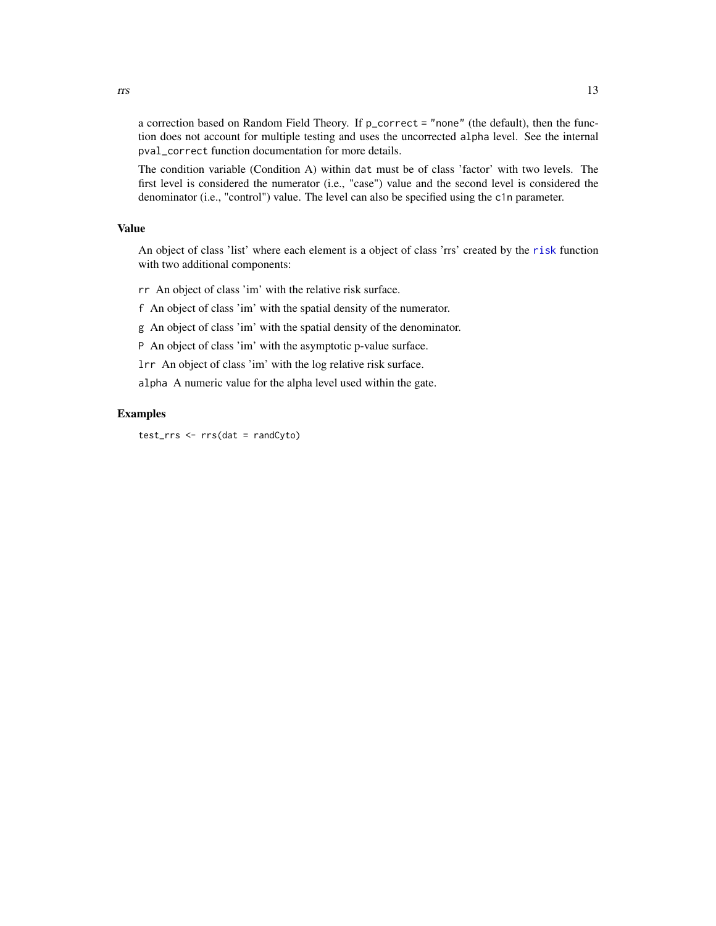<span id="page-12-0"></span>a correction based on Random Field Theory. If p\_correct = "none" (the default), then the function does not account for multiple testing and uses the uncorrected alpha level. See the internal pval\_correct function documentation for more details.

The condition variable (Condition A) within dat must be of class 'factor' with two levels. The first level is considered the numerator (i.e., "case") value and the second level is considered the denominator (i.e., "control") value. The level can also be specified using the c1n parameter.

#### Value

An object of class 'list' where each element is a object of class 'rrs' created by the [risk](#page-0-0) function with two additional components:

rr An object of class 'im' with the relative risk surface.

f An object of class 'im' with the spatial density of the numerator.

g An object of class 'im' with the spatial density of the denominator.

P An object of class 'im' with the asymptotic p-value surface.

lrr An object of class 'im' with the log relative risk surface.

alpha A numeric value for the alpha level used within the gate.

#### Examples

test\_rrs <- rrs(dat = randCyto)